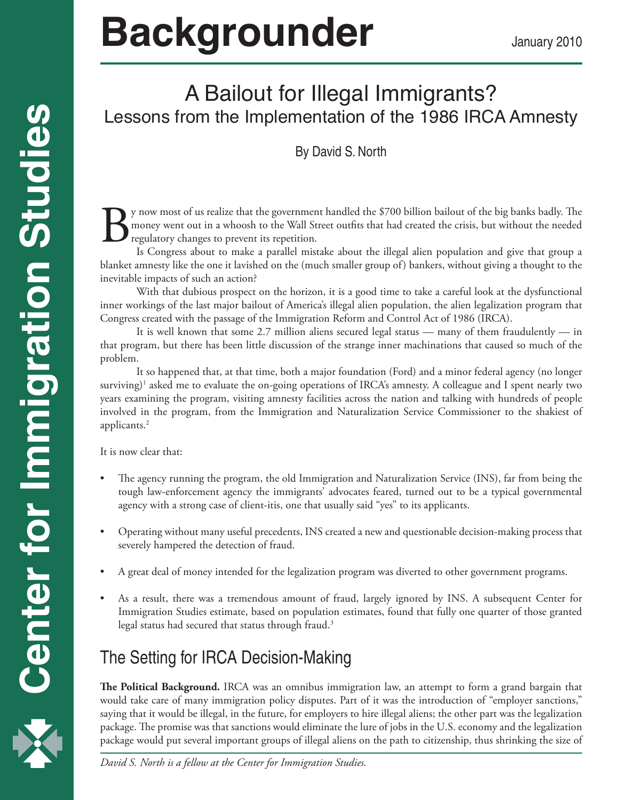# **Backgrounder** January 2010

## A Bailout for Illegal Immigrants? Lessons from the Implementation of the 1986 IRCA Amnesty

### By David S. North

By now most of us realize that the government handled the \$700 billion bailout of the big banks badly. The money went out in a whoosh to the Wall Street outfits that had created the crisis, but without the needed regulatory changes to prevent its repetition.

Is Congress about to make a parallel mistake about the illegal alien population and give that group a blanket amnesty like the one it lavished on the (much smaller group of) bankers, without giving a thought to the inevitable impacts of such an action?

With that dubious prospect on the horizon, it is a good time to take a careful look at the dysfunctional inner workings of the last major bailout of America's illegal alien population, the alien legalization program that Congress created with the passage of the Immigration Reform and Control Act of 1986 (IRCA).

It is well known that some 2.7 million aliens secured legal status — many of them fraudulently — in that program, but there has been little discussion of the strange inner machinations that caused so much of the problem.

It so happened that, at that time, both a major foundation (Ford) and a minor federal agency (no longer surviving) $^{\rm 1}$  asked me to evaluate the on-going operations of IRCA's amnesty. A colleague and I spent nearly two years examining the program, visiting amnesty facilities across the nation and talking with hundreds of people involved in the program, from the Immigration and Naturalization Service Commissioner to the shakiest of applicants.2

It is now clear that:

- The agency running the program, the old Immigration and Naturalization Service (INS), far from being the tough law-enforcement agency the immigrants' advocates feared, turned out to be a typical governmental agency with a strong case of client-itis, one that usually said "yes" to its applicants.
- Operating without many useful precedents, INS created a new and questionable decision-making process that severely hampered the detection of fraud.
- A great deal of money intended for the legalization program was diverted to other government programs.
- As a result, there was a tremendous amount of fraud, largely ignored by INS. A subsequent Center for Immigration Studies estimate, based on population estimates, found that fully one quarter of those granted legal status had secured that status through fraud.<sup>3</sup>

## The Setting for IRCA Decision-Making

**The Political Background.** IRCA was an omnibus immigration law, an attempt to form a grand bargain that would take care of many immigration policy disputes. Part of it was the introduction of "employer sanctions," saying that it would be illegal, in the future, for employers to hire illegal aliens; the other part was the legalization package. The promise was that sanctions would eliminate the lure of jobs in the U.S. economy and the legalization package would put several important groups of illegal aliens on the path to citizenship, thus shrinking the size of

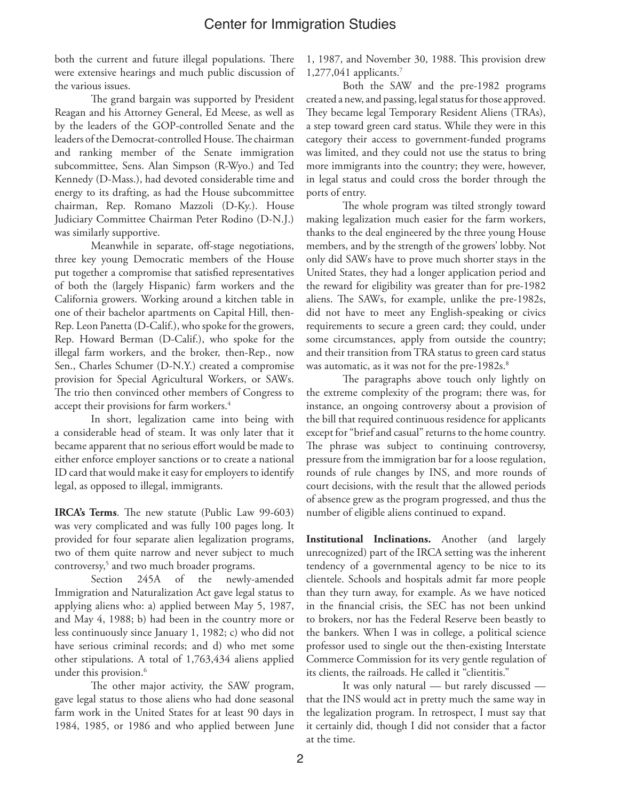both the current and future illegal populations. There were extensive hearings and much public discussion of the various issues.

The grand bargain was supported by President Reagan and his Attorney General, Ed Meese, as well as by the leaders of the GOP-controlled Senate and the leaders of the Democrat-controlled House. The chairman and ranking member of the Senate immigration subcommittee, Sens. Alan Simpson (R-Wyo.) and Ted Kennedy (D-Mass.), had devoted considerable time and energy to its drafting, as had the House subcommittee chairman, Rep. Romano Mazzoli (D-Ky.). House Judiciary Committee Chairman Peter Rodino (D-N.J.) was similarly supportive.

Meanwhile in separate, off-stage negotiations, three key young Democratic members of the House put together a compromise that satisfied representatives of both the (largely Hispanic) farm workers and the California growers. Working around a kitchen table in one of their bachelor apartments on Capital Hill, then-Rep. Leon Panetta (D-Calif.), who spoke for the growers, Rep. Howard Berman (D-Calif.), who spoke for the illegal farm workers, and the broker, then-Rep., now Sen., Charles Schumer (D-N.Y.) created a compromise provision for Special Agricultural Workers, or SAWs. The trio then convinced other members of Congress to accept their provisions for farm workers.4

In short, legalization came into being with a considerable head of steam. It was only later that it became apparent that no serious effort would be made to either enforce employer sanctions or to create a national ID card that would make it easy for employers to identify legal, as opposed to illegal, immigrants.

**IRCA's Terms**. The new statute (Public Law 99-603) was very complicated and was fully 100 pages long. It provided for four separate alien legalization programs, two of them quite narrow and never subject to much controversy,<sup>5</sup> and two much broader programs.

Section 245A of the newly-amended Immigration and Naturalization Act gave legal status to applying aliens who: a) applied between May 5, 1987, and May 4, 1988; b) had been in the country more or less continuously since January 1, 1982; c) who did not have serious criminal records; and d) who met some other stipulations. A total of 1,763,434 aliens applied under this provision.<sup>6</sup>

The other major activity, the SAW program, gave legal status to those aliens who had done seasonal farm work in the United States for at least 90 days in 1984, 1985, or 1986 and who applied between June 1, 1987, and November 30, 1988. This provision drew 1,277,041 applicants.7

Both the SAW and the pre-1982 programs created a new, and passing, legal status for those approved. They became legal Temporary Resident Aliens (TRAs), a step toward green card status. While they were in this category their access to government-funded programs was limited, and they could not use the status to bring more immigrants into the country; they were, however, in legal status and could cross the border through the ports of entry.

The whole program was tilted strongly toward making legalization much easier for the farm workers, thanks to the deal engineered by the three young House members, and by the strength of the growers' lobby. Not only did SAWs have to prove much shorter stays in the United States, they had a longer application period and the reward for eligibility was greater than for pre-1982 aliens. The SAWs, for example, unlike the pre-1982s, did not have to meet any English-speaking or civics requirements to secure a green card; they could, under some circumstances, apply from outside the country; and their transition from TRA status to green card status was automatic, as it was not for the pre-1982s.<sup>8</sup>

The paragraphs above touch only lightly on the extreme complexity of the program; there was, for instance, an ongoing controversy about a provision of the bill that required continuous residence for applicants except for "brief and casual" returns to the home country. The phrase was subject to continuing controversy, pressure from the immigration bar for a loose regulation, rounds of rule changes by INS, and more rounds of court decisions, with the result that the allowed periods of absence grew as the program progressed, and thus the number of eligible aliens continued to expand.

**Institutional Inclinations.** Another (and largely unrecognized) part of the IRCA setting was the inherent tendency of a governmental agency to be nice to its clientele. Schools and hospitals admit far more people than they turn away, for example. As we have noticed in the financial crisis, the SEC has not been unkind to brokers, nor has the Federal Reserve been beastly to the bankers. When I was in college, a political science professor used to single out the then-existing Interstate Commerce Commission for its very gentle regulation of its clients, the railroads. He called it "clientitis."

It was only natural — but rarely discussed that the INS would act in pretty much the same way in the legalization program. In retrospect, I must say that it certainly did, though I did not consider that a factor at the time.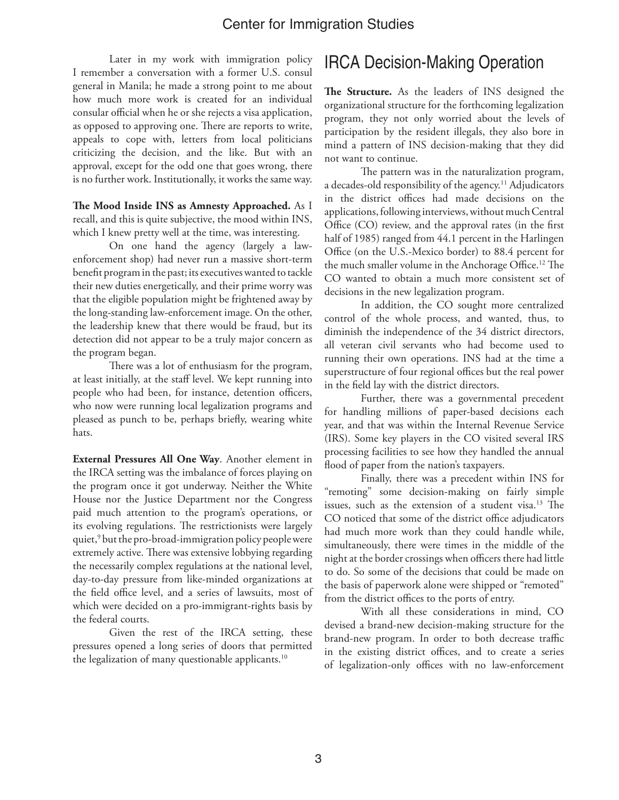Later in my work with immigration policy I remember a conversation with a former U.S. consul general in Manila; he made a strong point to me about how much more work is created for an individual consular official when he or she rejects a visa application, as opposed to approving one. There are reports to write, appeals to cope with, letters from local politicians criticizing the decision, and the like. But with an approval, except for the odd one that goes wrong, there is no further work. Institutionally, it works the same way.

**The Mood Inside INS as Amnesty Approached.** As I recall, and this is quite subjective, the mood within INS, which I knew pretty well at the time, was interesting.

On one hand the agency (largely a lawenforcement shop) had never run a massive short-term benefit program in the past; its executives wanted to tackle their new duties energetically, and their prime worry was that the eligible population might be frightened away by the long-standing law-enforcement image. On the other, the leadership knew that there would be fraud, but its detection did not appear to be a truly major concern as the program began.

There was a lot of enthusiasm for the program, at least initially, at the staff level. We kept running into people who had been, for instance, detention officers, who now were running local legalization programs and pleased as punch to be, perhaps briefly, wearing white hats.

**External Pressures All One Way**. Another element in the IRCA setting was the imbalance of forces playing on the program once it got underway. Neither the White House nor the Justice Department nor the Congress paid much attention to the program's operations, or its evolving regulations. The restrictionists were largely quiet,<sup>9</sup> but the pro-broad-immigration policy people were extremely active. There was extensive lobbying regarding the necessarily complex regulations at the national level, day-to-day pressure from like-minded organizations at the field office level, and a series of lawsuits, most of which were decided on a pro-immigrant-rights basis by the federal courts.

Given the rest of the IRCA setting, these pressures opened a long series of doors that permitted the legalization of many questionable applicants.<sup>10</sup>

## IRCA Decision-Making Operation

**The Structure.** As the leaders of INS designed the organizational structure for the forthcoming legalization program, they not only worried about the levels of participation by the resident illegals, they also bore in mind a pattern of INS decision-making that they did not want to continue.

The pattern was in the naturalization program, a decades-old responsibility of the agency.<sup>11</sup> Adjudicators in the district offices had made decisions on the applications, following interviews, without much Central Office (CO) review, and the approval rates (in the first half of 1985) ranged from 44.1 percent in the Harlingen Office (on the U.S.-Mexico border) to 88.4 percent for the much smaller volume in the Anchorage Office.<sup>12</sup> The CO wanted to obtain a much more consistent set of decisions in the new legalization program.

In addition, the CO sought more centralized control of the whole process, and wanted, thus, to diminish the independence of the 34 district directors, all veteran civil servants who had become used to running their own operations. INS had at the time a superstructure of four regional offices but the real power in the field lay with the district directors.

Further, there was a governmental precedent for handling millions of paper-based decisions each year, and that was within the Internal Revenue Service (IRS). Some key players in the CO visited several IRS processing facilities to see how they handled the annual flood of paper from the nation's taxpayers.

Finally, there was a precedent within INS for "remoting" some decision-making on fairly simple issues, such as the extension of a student visa.<sup>13</sup> The CO noticed that some of the district office adjudicators had much more work than they could handle while, simultaneously, there were times in the middle of the night at the border crossings when officers there had little to do. So some of the decisions that could be made on the basis of paperwork alone were shipped or "remoted" from the district offices to the ports of entry.

With all these considerations in mind, CO devised a brand-new decision-making structure for the brand-new program. In order to both decrease traffic in the existing district offices, and to create a series of legalization-only offices with no law-enforcement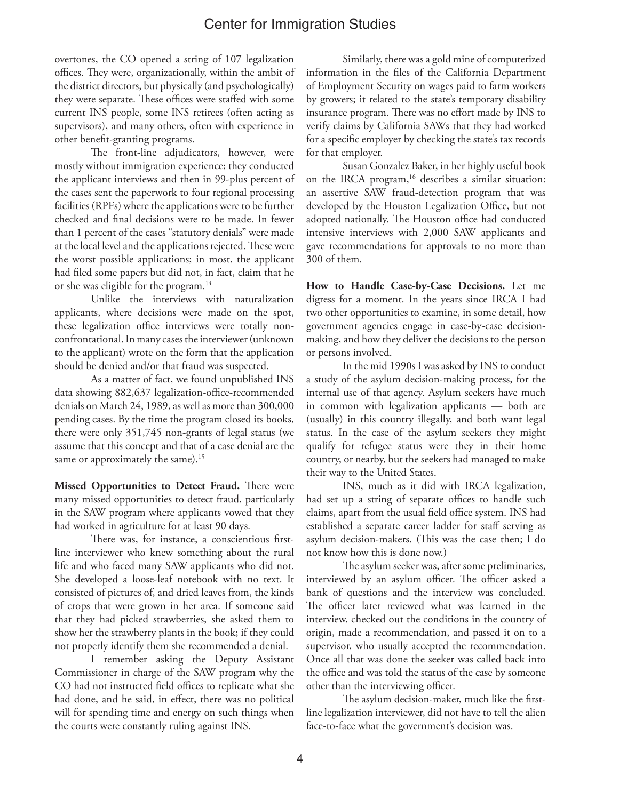overtones, the CO opened a string of 107 legalization offices. They were, organizationally, within the ambit of the district directors, but physically (and psychologically) they were separate. These offices were staffed with some current INS people, some INS retirees (often acting as supervisors), and many others, often with experience in other benefit-granting programs.

The front-line adjudicators, however, were mostly without immigration experience; they conducted the applicant interviews and then in 99-plus percent of the cases sent the paperwork to four regional processing facilities (RPFs) where the applications were to be further checked and final decisions were to be made. In fewer than 1 percent of the cases "statutory denials" were made at the local level and the applications rejected. These were the worst possible applications; in most, the applicant had filed some papers but did not, in fact, claim that he or she was eligible for the program.<sup>14</sup>

Unlike the interviews with naturalization applicants, where decisions were made on the spot, these legalization office interviews were totally nonconfrontational. In many cases the interviewer (unknown to the applicant) wrote on the form that the application should be denied and/or that fraud was suspected.

As a matter of fact, we found unpublished INS data showing 882,637 legalization-office-recommended denials on March 24, 1989, as well as more than 300,000 pending cases. By the time the program closed its books, there were only 351,745 non-grants of legal status (we assume that this concept and that of a case denial are the same or approximately the same).<sup>15</sup>

**Missed Opportunities to Detect Fraud.** There were many missed opportunities to detect fraud, particularly in the SAW program where applicants vowed that they had worked in agriculture for at least 90 days.

There was, for instance, a conscientious firstline interviewer who knew something about the rural life and who faced many SAW applicants who did not. She developed a loose-leaf notebook with no text. It consisted of pictures of, and dried leaves from, the kinds of crops that were grown in her area. If someone said that they had picked strawberries, she asked them to show her the strawberry plants in the book; if they could not properly identify them she recommended a denial.

I remember asking the Deputy Assistant Commissioner in charge of the SAW program why the CO had not instructed field offices to replicate what she had done, and he said, in effect, there was no political will for spending time and energy on such things when the courts were constantly ruling against INS.

Similarly, there was a gold mine of computerized information in the files of the California Department of Employment Security on wages paid to farm workers by growers; it related to the state's temporary disability insurance program. There was no effort made by INS to verify claims by California SAWs that they had worked for a specific employer by checking the state's tax records for that employer.

Susan Gonzalez Baker, in her highly useful book on the IRCA program,<sup>16</sup> describes a similar situation: an assertive SAW fraud-detection program that was developed by the Houston Legalization Office, but not adopted nationally. The Houston office had conducted intensive interviews with 2,000 SAW applicants and gave recommendations for approvals to no more than 300 of them.

**How to Handle Case-by-Case Decisions.** Let me digress for a moment. In the years since IRCA I had two other opportunities to examine, in some detail, how government agencies engage in case-by-case decisionmaking, and how they deliver the decisions to the person or persons involved.

In the mid 1990s I was asked by INS to conduct a study of the asylum decision-making process, for the internal use of that agency. Asylum seekers have much in common with legalization applicants — both are (usually) in this country illegally, and both want legal status. In the case of the asylum seekers they might qualify for refugee status were they in their home country, or nearby, but the seekers had managed to make their way to the United States.

INS, much as it did with IRCA legalization, had set up a string of separate offices to handle such claims, apart from the usual field office system. INS had established a separate career ladder for staff serving as asylum decision-makers. (This was the case then; I do not know how this is done now.)

The asylum seeker was, after some preliminaries, interviewed by an asylum officer. The officer asked a bank of questions and the interview was concluded. The officer later reviewed what was learned in the interview, checked out the conditions in the country of origin, made a recommendation, and passed it on to a supervisor, who usually accepted the recommendation. Once all that was done the seeker was called back into the office and was told the status of the case by someone other than the interviewing officer.

The asylum decision-maker, much like the firstline legalization interviewer, did not have to tell the alien face-to-face what the government's decision was.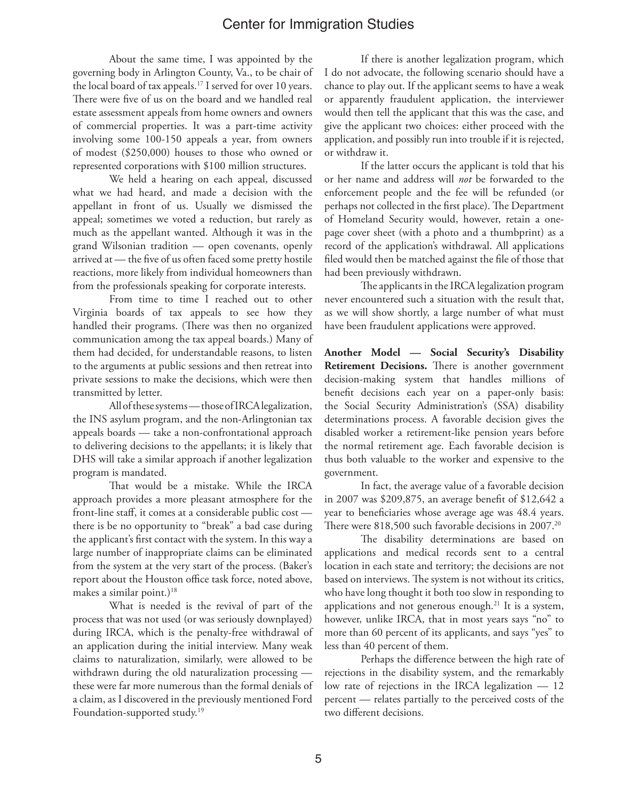About the same time, I was appointed by the governing body in Arlington County, Va., to be chair of the local board of tax appeals.<sup>17</sup> I served for over 10 years. There were five of us on the board and we handled real estate assessment appeals from home owners and owners of commercial properties. It was a part-time activity involving some 100-150 appeals a year, from owners of modest (\$250,000) houses to those who owned or represented corporations with \$100 million structures.

We held a hearing on each appeal, discussed what we had heard, and made a decision with the appellant in front of us. Usually we dismissed the appeal; sometimes we voted a reduction, but rarely as much as the appellant wanted. Although it was in the grand Wilsonian tradition — open covenants, openly arrived at — the five of us often faced some pretty hostile reactions, more likely from individual homeowners than from the professionals speaking for corporate interests.

From time to time I reached out to other Virginia boards of tax appeals to see how they handled their programs. (There was then no organized communication among the tax appeal boards.) Many of them had decided, for understandable reasons, to listen to the arguments at public sessions and then retreat into private sessions to make the decisions, which were then transmitted by letter.

All of these systems — those of IRCA legalization, the INS asylum program, and the non-Arlingtonian tax appeals boards — take a non-confrontational approach to delivering decisions to the appellants; it is likely that DHS will take a similar approach if another legalization program is mandated.

That would be a mistake. While the IRCA approach provides a more pleasant atmosphere for the front-line staff, it comes at a considerable public cost there is be no opportunity to "break" a bad case during the applicant's first contact with the system. In this way a large number of inappropriate claims can be eliminated from the system at the very start of the process. (Baker's report about the Houston office task force, noted above, makes a similar point.)<sup>18</sup>

What is needed is the revival of part of the process that was not used (or was seriously downplayed) during IRCA, which is the penalty-free withdrawal of an application during the initial interview. Many weak claims to naturalization, similarly, were allowed to be withdrawn during the old naturalization processing these were far more numerous than the formal denials of a claim, as I discovered in the previously mentioned Ford Foundation-supported study.<sup>19</sup>

If there is another legalization program, which I do not advocate, the following scenario should have a chance to play out. If the applicant seems to have a weak or apparently fraudulent application, the interviewer would then tell the applicant that this was the case, and give the applicant two choices: either proceed with the application, and possibly run into trouble if it is rejected, or withdraw it.

If the latter occurs the applicant is told that his or her name and address will *not* be forwarded to the enforcement people and the fee will be refunded (or perhaps not collected in the first place). The Department of Homeland Security would, however, retain a onepage cover sheet (with a photo and a thumbprint) as a record of the application's withdrawal. All applications filed would then be matched against the file of those that had been previously withdrawn.

The applicants in the IRCA legalization program never encountered such a situation with the result that, as we will show shortly, a large number of what must have been fraudulent applications were approved.

**Another Model — Social Security's Disability Retirement Decisions.** There is another government decision-making system that handles millions of benefit decisions each year on a paper-only basis: the Social Security Administration's (SSA) disability determinations process. A favorable decision gives the disabled worker a retirement-like pension years before the normal retirement age. Each favorable decision is thus both valuable to the worker and expensive to the government.

In fact, the average value of a favorable decision in 2007 was \$209,875, an average benefit of \$12,642 a year to beneficiaries whose average age was 48.4 years. There were 818,500 such favorable decisions in 2007.<sup>20</sup>

The disability determinations are based on applications and medical records sent to a central location in each state and territory; the decisions are not based on interviews. The system is not without its critics, who have long thought it both too slow in responding to applications and not generous enough.21 It is a system, however, unlike IRCA, that in most years says "no" to more than 60 percent of its applicants, and says "yes" to less than 40 percent of them.

Perhaps the difference between the high rate of rejections in the disability system, and the remarkably low rate of rejections in the IRCA legalization — 12 percent — relates partially to the perceived costs of the two different decisions.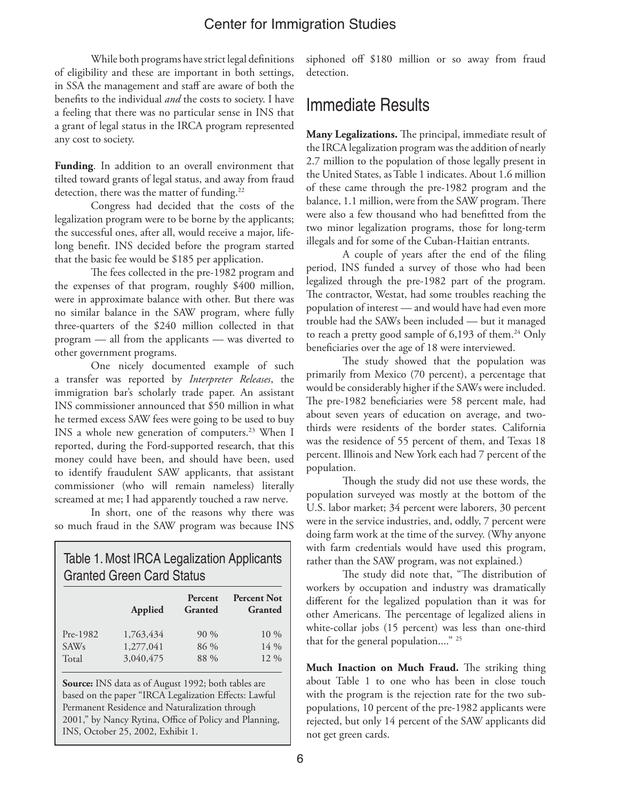While both programs have strict legal definitions of eligibility and these are important in both settings, in SSA the management and staff are aware of both the benefits to the individual *and* the costs to society. I have a feeling that there was no particular sense in INS that a grant of legal status in the IRCA program represented any cost to society.

**Funding**. In addition to an overall environment that tilted toward grants of legal status, and away from fraud detection, there was the matter of funding.<sup>22</sup>

Congress had decided that the costs of the legalization program were to be borne by the applicants; the successful ones, after all, would receive a major, lifelong benefit. INS decided before the program started that the basic fee would be \$185 per application.

The fees collected in the pre-1982 program and the expenses of that program, roughly \$400 million, were in approximate balance with other. But there was no similar balance in the SAW program, where fully three-quarters of the \$240 million collected in that program — all from the applicants — was diverted to other government programs.

One nicely documented example of such a transfer was reported by *Interpreter Releases*, the immigration bar's scholarly trade paper. An assistant INS commissioner announced that \$50 million in what he termed excess SAW fees were going to be used to buy INS a whole new generation of computers.<sup>23</sup> When I reported, during the Ford-supported research, that this money could have been, and should have been, used to identify fraudulent SAW applicants, that assistant commissioner (who will remain nameless) literally screamed at me; I had apparently touched a raw nerve.

In short, one of the reasons why there was so much fraud in the SAW program was because INS

| Table 1. Most IRCA Legalization Applicants<br><b>Granted Green Card Status</b> |                        |                           |                               |  |
|--------------------------------------------------------------------------------|------------------------|---------------------------|-------------------------------|--|
|                                                                                | Applied                | Percent<br><b>Granted</b> | <b>Percent Not</b><br>Granted |  |
| Pre-1982<br><b>SAWs</b>                                                        | 1,763,434<br>1,277,041 | $90\%$<br>86 %            | $10\%$<br>$14\%$              |  |
| Total                                                                          | 3,040,475              | 88 %                      | 12 %                          |  |

**Source:** INS data as of August 1992; both tables are based on the paper "IRCA Legalization Effects: Lawful Permanent Residence and Naturalization through 2001," by Nancy Rytina, Office of Policy and Planning, INS, October 25, 2002, Exhibit 1.

siphoned off \$180 million or so away from fraud detection.

## Immediate Results

**Many Legalizations.** The principal, immediate result of the IRCA legalization program was the addition of nearly 2.7 million to the population of those legally present in the United States, as Table 1 indicates. About 1.6 million of these came through the pre-1982 program and the balance, 1.1 million, were from the SAW program. There were also a few thousand who had benefitted from the two minor legalization programs, those for long-term illegals and for some of the Cuban-Haitian entrants.

A couple of years after the end of the filing period, INS funded a survey of those who had been legalized through the pre-1982 part of the program. The contractor, Westat, had some troubles reaching the population of interest — and would have had even more trouble had the SAWs been included — but it managed to reach a pretty good sample of  $6,193$  of them.<sup>24</sup> Only beneficiaries over the age of 18 were interviewed.

The study showed that the population was primarily from Mexico (70 percent), a percentage that would be considerably higher if the SAWs were included. The pre-1982 beneficiaries were 58 percent male, had about seven years of education on average, and twothirds were residents of the border states. California was the residence of 55 percent of them, and Texas 18 percent. Illinois and New York each had 7 percent of the population.

Though the study did not use these words, the population surveyed was mostly at the bottom of the U.S. labor market; 34 percent were laborers, 30 percent were in the service industries, and, oddly, 7 percent were doing farm work at the time of the survey. (Why anyone with farm credentials would have used this program, rather than the SAW program, was not explained.)

The study did note that, "The distribution of workers by occupation and industry was dramatically different for the legalized population than it was for other Americans. The percentage of legalized aliens in white-collar jobs (15 percent) was less than one-third that for the general population...." 25

**Much Inaction on Much Fraud.** The striking thing about Table 1 to one who has been in close touch with the program is the rejection rate for the two subpopulations, 10 percent of the pre-1982 applicants were rejected, but only 14 percent of the SAW applicants did not get green cards.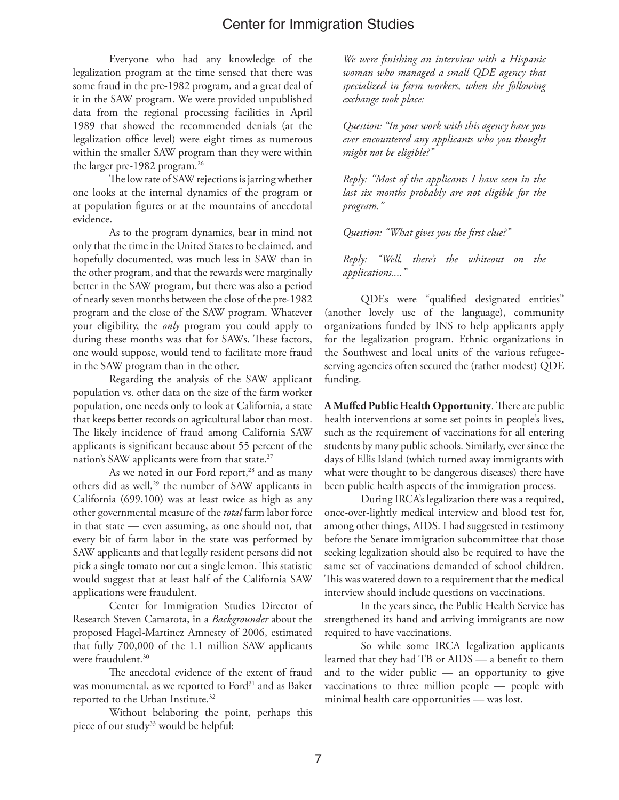Everyone who had any knowledge of the legalization program at the time sensed that there was some fraud in the pre-1982 program, and a great deal of it in the SAW program. We were provided unpublished data from the regional processing facilities in April 1989 that showed the recommended denials (at the legalization office level) were eight times as numerous within the smaller SAW program than they were within the larger pre-1982 program.<sup>26</sup>

The low rate of SAW rejections is jarring whether one looks at the internal dynamics of the program or at population figures or at the mountains of anecdotal evidence.

As to the program dynamics, bear in mind not only that the time in the United States to be claimed, and hopefully documented, was much less in SAW than in the other program, and that the rewards were marginally better in the SAW program, but there was also a period of nearly seven months between the close of the pre-1982 program and the close of the SAW program. Whatever your eligibility, the *only* program you could apply to during these months was that for SAWs. These factors, one would suppose, would tend to facilitate more fraud in the SAW program than in the other.

Regarding the analysis of the SAW applicant population vs. other data on the size of the farm worker population, one needs only to look at California, a state that keeps better records on agricultural labor than most. The likely incidence of fraud among California SAW applicants is significant because about 55 percent of the nation's SAW applicants were from that state.<sup>27</sup>

As we noted in our Ford report,<sup>28</sup> and as many others did as well,<sup>29</sup> the number of SAW applicants in California (699,100) was at least twice as high as any other governmental measure of the *total* farm labor force in that state — even assuming, as one should not, that every bit of farm labor in the state was performed by SAW applicants and that legally resident persons did not pick a single tomato nor cut a single lemon. This statistic would suggest that at least half of the California SAW applications were fraudulent.

Center for Immigration Studies Director of Research Steven Camarota, in a *Backgrounder* about the proposed Hagel-Martinez Amnesty of 2006, estimated that fully 700,000 of the 1.1 million SAW applicants were fraudulent.<sup>30</sup>

The anecdotal evidence of the extent of fraud was monumental, as we reported to Ford<sup>31</sup> and as Baker reported to the Urban Institute.<sup>32</sup>

Without belaboring the point, perhaps this piece of our study<sup>33</sup> would be helpful:

*We were finishing an interview with a Hispanic woman who managed a small QDE agency that specialized in farm workers, when the following exchange took place:*

*Question: "In your work with this agency have you ever encountered any applicants who you thought might not be eligible?"*

*Reply: "Most of the applicants I have seen in the last six months probably are not eligible for the program."*

*Question: "What gives you the first clue?"*

*Reply: "Well, there's the whiteout on the applications...."*

QDEs were "qualified designated entities" (another lovely use of the language), community organizations funded by INS to help applicants apply for the legalization program. Ethnic organizations in the Southwest and local units of the various refugeeserving agencies often secured the (rather modest) QDE funding.

**A Muffed Public Health Opportunity**. There are public health interventions at some set points in people's lives, such as the requirement of vaccinations for all entering students by many public schools. Similarly, ever since the days of Ellis Island (which turned away immigrants with what were thought to be dangerous diseases) there have been public health aspects of the immigration process.

During IRCA's legalization there was a required, once-over-lightly medical interview and blood test for, among other things, AIDS. I had suggested in testimony before the Senate immigration subcommittee that those seeking legalization should also be required to have the same set of vaccinations demanded of school children. This was watered down to a requirement that the medical interview should include questions on vaccinations.

In the years since, the Public Health Service has strengthened its hand and arriving immigrants are now required to have vaccinations.

So while some IRCA legalization applicants learned that they had TB or AIDS — a benefit to them and to the wider public — an opportunity to give vaccinations to three million people — people with minimal health care opportunities — was lost.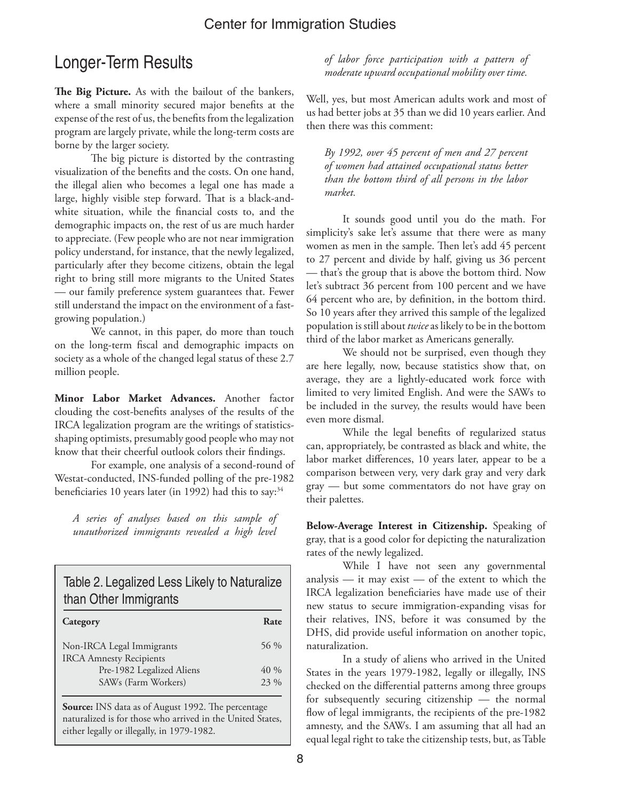## Longer-Term Results

**The Big Picture.** As with the bailout of the bankers, where a small minority secured major benefits at the expense of the rest of us, the benefits from the legalization program are largely private, while the long-term costs are borne by the larger society.

The big picture is distorted by the contrasting visualization of the benefits and the costs. On one hand, the illegal alien who becomes a legal one has made a large, highly visible step forward. That is a black-andwhite situation, while the financial costs to, and the demographic impacts on, the rest of us are much harder to appreciate. (Few people who are not near immigration policy understand, for instance, that the newly legalized, particularly after they become citizens, obtain the legal right to bring still more migrants to the United States — our family preference system guarantees that. Fewer still understand the impact on the environment of a fastgrowing population.)

We cannot, in this paper, do more than touch on the long-term fiscal and demographic impacts on society as a whole of the changed legal status of these 2.7 million people.

**Minor Labor Market Advances.** Another factor clouding the cost-benefits analyses of the results of the IRCA legalization program are the writings of statisticsshaping optimists, presumably good people who may not know that their cheerful outlook colors their findings.

For example, one analysis of a second-round of Westat-conducted, INS-funded polling of the pre-1982 beneficiaries 10 years later (in 1992) had this to say:<sup>34</sup>

*A series of analyses based on this sample of unauthorized immigrants revealed a high level* 

Table 2. Legalized Less Likely to Naturalize than Other Immigrants

| Category                                                     | Rate        |
|--------------------------------------------------------------|-------------|
| Non-IRCA Legal Immigrants<br><b>IRCA Amnesty Recipients</b>  | 56 %        |
| Pre-1982 Legalized Aliens<br>SAW <sub>s</sub> (Farm Workers) | 40%<br>23 % |
|                                                              |             |

**Source:** INS data as of August 1992. The percentage naturalized is for those who arrived in the United States, either legally or illegally, in 1979-1982.

*of labor force participation with a pattern of moderate upward occupational mobility over time.*

Well, yes, but most American adults work and most of us had better jobs at 35 than we did 10 years earlier. And then there was this comment:

*By 1992, over 45 percent of men and 27 percent of women had attained occupational status better than the bottom third of all persons in the labor market.*

It sounds good until you do the math. For simplicity's sake let's assume that there were as many women as men in the sample. Then let's add 45 percent to 27 percent and divide by half, giving us 36 percent — that's the group that is above the bottom third. Now let's subtract 36 percent from 100 percent and we have 64 percent who are, by definition, in the bottom third. So 10 years after they arrived this sample of the legalized population is still about *twice* as likely to be in the bottom third of the labor market as Americans generally.

We should not be surprised, even though they are here legally, now, because statistics show that, on average, they are a lightly-educated work force with limited to very limited English. And were the SAWs to be included in the survey, the results would have been even more dismal.

While the legal benefits of regularized status can, appropriately, be contrasted as black and white, the labor market differences, 10 years later, appear to be a comparison between very, very dark gray and very dark gray — but some commentators do not have gray on their palettes.

**Below-Average Interest in Citizenship.** Speaking of gray, that is a good color for depicting the naturalization rates of the newly legalized.

While I have not seen any governmental analysis — it may exist — of the extent to which the IRCA legalization beneficiaries have made use of their new status to secure immigration-expanding visas for their relatives, INS, before it was consumed by the DHS, did provide useful information on another topic, naturalization.

In a study of aliens who arrived in the United States in the years 1979-1982, legally or illegally, INS checked on the differential patterns among three groups for subsequently securing citizenship — the normal flow of legal immigrants, the recipients of the pre-1982 amnesty, and the SAWs. I am assuming that all had an equal legal right to take the citizenship tests, but, as Table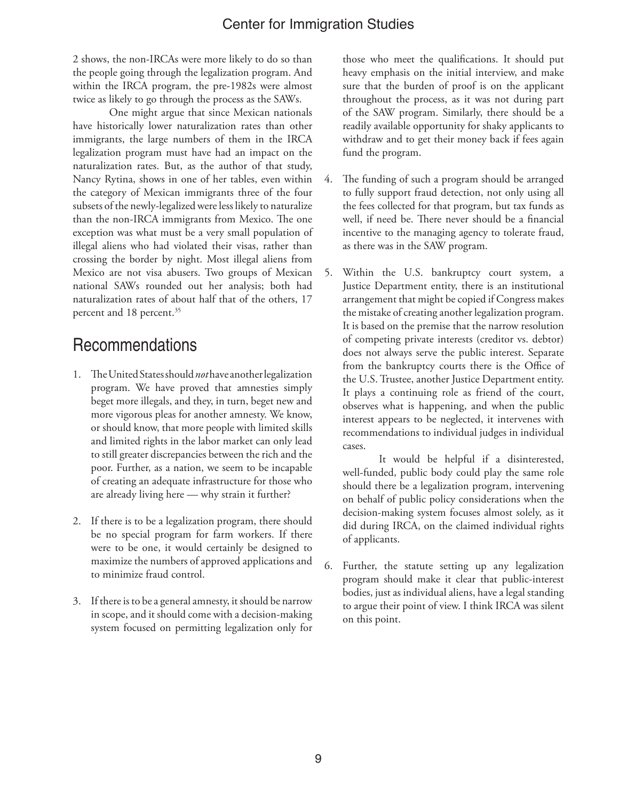2 shows, the non-IRCAs were more likely to do so than the people going through the legalization program. And within the IRCA program, the pre-1982s were almost twice as likely to go through the process as the SAWs.

One might argue that since Mexican nationals have historically lower naturalization rates than other immigrants, the large numbers of them in the IRCA legalization program must have had an impact on the naturalization rates. But, as the author of that study, Nancy Rytina, shows in one of her tables, even within the category of Mexican immigrants three of the four subsets of the newly-legalized were less likely to naturalize than the non-IRCA immigrants from Mexico. The one exception was what must be a very small population of illegal aliens who had violated their visas, rather than crossing the border by night. Most illegal aliens from Mexico are not visa abusers. Two groups of Mexican national SAWs rounded out her analysis; both had naturalization rates of about half that of the others, 17 percent and 18 percent.<sup>35</sup>

## Recommendations

- 1. The United States should *not* have another legalization program. We have proved that amnesties simply beget more illegals, and they, in turn, beget new and more vigorous pleas for another amnesty. We know, or should know, that more people with limited skills and limited rights in the labor market can only lead to still greater discrepancies between the rich and the poor. Further, as a nation, we seem to be incapable of creating an adequate infrastructure for those who are already living here — why strain it further?
- 2. If there is to be a legalization program, there should be no special program for farm workers. If there were to be one, it would certainly be designed to maximize the numbers of approved applications and to minimize fraud control.
- 3. If there is to be a general amnesty, it should be narrow in scope, and it should come with a decision-making system focused on permitting legalization only for

those who meet the qualifications. It should put heavy emphasis on the initial interview, and make sure that the burden of proof is on the applicant throughout the process, as it was not during part of the SAW program. Similarly, there should be a readily available opportunity for shaky applicants to withdraw and to get their money back if fees again fund the program.

- 4. The funding of such a program should be arranged to fully support fraud detection, not only using all the fees collected for that program, but tax funds as well, if need be. There never should be a financial incentive to the managing agency to tolerate fraud, as there was in the SAW program.
- 5. Within the U.S. bankruptcy court system, a Justice Department entity, there is an institutional arrangement that might be copied if Congress makes the mistake of creating another legalization program. It is based on the premise that the narrow resolution of competing private interests (creditor vs. debtor) does not always serve the public interest. Separate from the bankruptcy courts there is the Office of the U.S. Trustee, another Justice Department entity. It plays a continuing role as friend of the court, observes what is happening, and when the public interest appears to be neglected, it intervenes with recommendations to individual judges in individual cases.

It would be helpful if a disinterested, well-funded, public body could play the same role should there be a legalization program, intervening on behalf of public policy considerations when the decision-making system focuses almost solely, as it did during IRCA, on the claimed individual rights of applicants.

6. Further, the statute setting up any legalization program should make it clear that public-interest bodies, just as individual aliens, have a legal standing to argue their point of view. I think IRCA was silent on this point.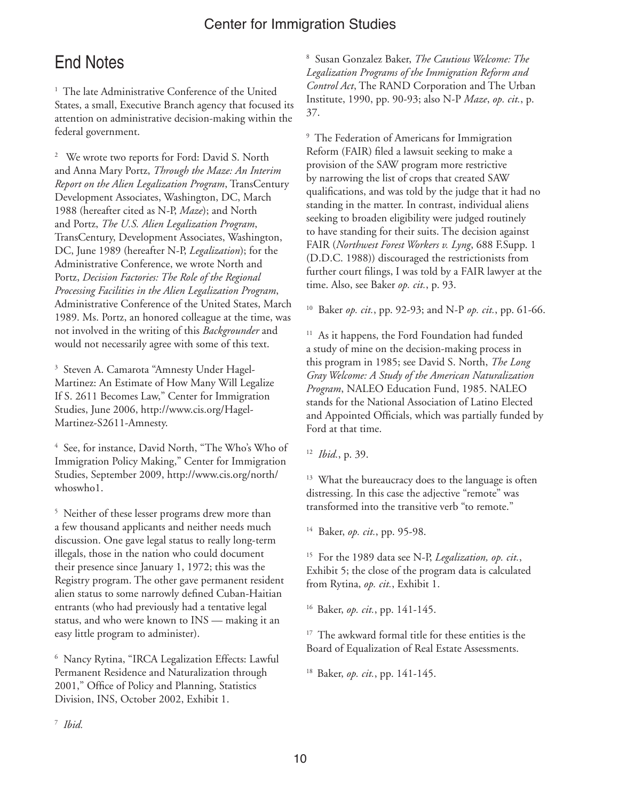## End Notes

<sup>1</sup> The late Administrative Conference of the United States, a small, Executive Branch agency that focused its attention on administrative decision-making within the federal government.

2 We wrote two reports for Ford: David S. North and Anna Mary Portz, *Through the Maze: An Interim Report on the Alien Legalization Program*, TransCentury Development Associates, Washington, DC, March 1988 (hereafter cited as N-P, *Maze*); and North and Portz, *The U.S. Alien Legalization Program*, TransCentury, Development Associates, Washington, DC, June 1989 (hereafter N-P, *Legalization*); for the Administrative Conference, we wrote North and Portz, *Decision Factories: The Role of the Regional Processing Facilities in the Alien Legalization Program*, Administrative Conference of the United States, March 1989. Ms. Portz, an honored colleague at the time, was not involved in the writing of this *Backgrounder* and would not necessarily agree with some of this text.

3 Steven A. Camarota "Amnesty Under Hagel-Martinez: An Estimate of How Many Will Legalize If S. 2611 Becomes Law," Center for Immigration Studies, June 2006, http://www.cis.org/Hagel-Martinez-S2611-Amnesty.

4 See, for instance, David North, "The Who's Who of Immigration Policy Making," Center for Immigration Studies, September 2009, http://www.cis.org/north/ whoswho1.

<sup>5</sup> Neither of these lesser programs drew more than a few thousand applicants and neither needs much discussion. One gave legal status to really long-term illegals, those in the nation who could document their presence since January 1, 1972; this was the Registry program. The other gave permanent resident alien status to some narrowly defined Cuban-Haitian entrants (who had previously had a tentative legal status, and who were known to INS — making it an easy little program to administer).

6 Nancy Rytina, "IRCA Legalization Effects: Lawful Permanent Residence and Naturalization through 2001," Office of Policy and Planning, Statistics Division, INS, October 2002, Exhibit 1.

8 Susan Gonzalez Baker, *The Cautious Welcome: The Legalization Programs of the Immigration Reform and Control Act*, The RAND Corporation and The Urban Institute, 1990, pp. 90-93; also N-P *Maze*, *op. cit.*, p. 37.

9 The Federation of Americans for Immigration Reform (FAIR) filed a lawsuit seeking to make a provision of the SAW program more restrictive by narrowing the list of crops that created SAW qualifications, and was told by the judge that it had no standing in the matter. In contrast, individual aliens seeking to broaden eligibility were judged routinely to have standing for their suits. The decision against FAIR (*Northwest Forest Workers v. Lyng*, 688 F.Supp. 1 (D.D.C. 1988)) discouraged the restrictionists from further court filings, I was told by a FAIR lawyer at the time. Also, see Baker *op. cit.*, p. 93.

10 Baker *op. cit.*, pp. 92-93; and N-P *op. cit.*, pp. 61-66.

<sup>11</sup> As it happens, the Ford Foundation had funded a study of mine on the decision-making process in this program in 1985; see David S. North, *The Long Gray Welcome: A Study of the American Naturalization Program*, NALEO Education Fund, 1985. NALEO stands for the National Association of Latino Elected and Appointed Officials, which was partially funded by Ford at that time.

12 *Ibid.*, p. 39.

<sup>13</sup> What the bureaucracy does to the language is often distressing. In this case the adjective "remote" was transformed into the transitive verb "to remote."

14 Baker, *op. cit.*, pp. 95-98.

15 For the 1989 data see N-P, *Legalization, op. cit.*, Exhibit 5; the close of the program data is calculated from Rytina, *op. cit.*, Exhibit 1.

16 Baker, *op. cit.*, pp. 141-145.

<sup>17</sup> The awkward formal title for these entities is the Board of Equalization of Real Estate Assessments.

18 Baker, *op. cit.*, pp. 141-145.

7 *Ibid.*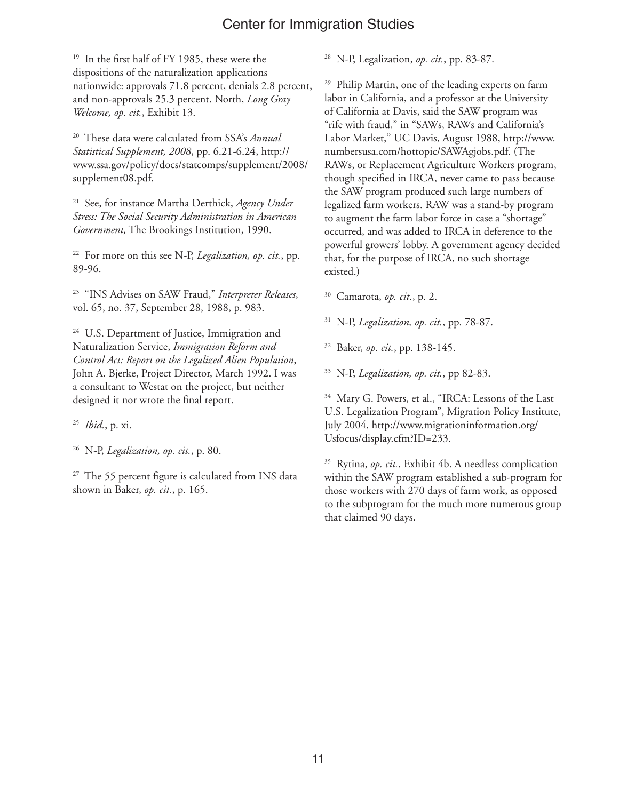<sup>19</sup> In the first half of FY 1985, these were the dispositions of the naturalization applications nationwide: approvals 71.8 percent, denials 2.8 percent, and non-approvals 25.3 percent. North, *Long Gray Welcome, op. cit.*, Exhibit 13.

20 These data were calculated from SSA's *Annual Statistical Supplement, 2008*, pp. 6.21-6.24, http:// www.ssa.gov/policy/docs/statcomps/supplement/2008/ supplement08.pdf.

21 See, for instance Martha Derthick, *Agency Under Stress: The Social Security Administration in American Government,* The Brookings Institution, 1990.

22 For more on this see N-P, *Legalization, op. cit.*, pp. 89-96.

23 "INS Advises on SAW Fraud," *Interpreter Releases*, vol. 65, no. 37, September 28, 1988, p. 983.

<sup>24</sup> U.S. Department of Justice, Immigration and Naturalization Service, *Immigration Reform and Control Act: Report on the Legalized Alien Population*, John A. Bjerke, Project Director, March 1992. I was a consultant to Westat on the project, but neither designed it nor wrote the final report.

25 *Ibid.*, p. xi.

26 N-P, *Legalization, op. cit.*, p. 80.

 $27$  The 55 percent figure is calculated from INS data shown in Baker, *op. cit.*, p. 165.

28 N-P, Legalization, *op. cit.*, pp. 83-87.

29 Philip Martin, one of the leading experts on farm labor in California, and a professor at the University of California at Davis, said the SAW program was "rife with fraud," in "SAWs, RAWs and California's Labor Market," UC Davis, August 1988, http://www. numbersusa.com/hottopic/SAWAgjobs.pdf. (The RAWs, or Replacement Agriculture Workers program, though specified in IRCA, never came to pass because the SAW program produced such large numbers of legalized farm workers. RAW was a stand-by program to augment the farm labor force in case a "shortage" occurred, and was added to IRCA in deference to the powerful growers' lobby. A government agency decided that, for the purpose of IRCA, no such shortage existed.)

30 Camarota, *op. cit.*, p. 2.

31 N-P, *Legalization, op. cit.*, pp. 78-87.

32 Baker, *op. cit.*, pp. 138-145.

33 N-P, *Legalization, op. cit.*, pp 82-83.

34 Mary G. Powers, et al., "IRCA: Lessons of the Last U.S. Legalization Program", Migration Policy Institute, July 2004, http://www.migrationinformation.org/ Usfocus/display.cfm?ID=233.

35 Rytina, *op. cit.*, Exhibit 4b. A needless complication within the SAW program established a sub-program for those workers with 270 days of farm work, as opposed to the subprogram for the much more numerous group that claimed 90 days.